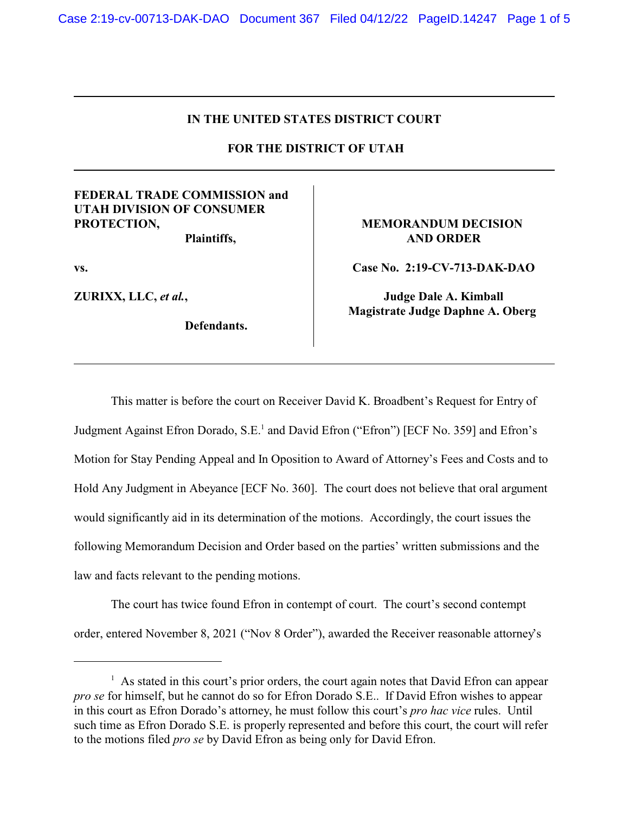## **IN THE UNITED STATES DISTRICT COURT**

 **FOR THE DISTRICT OF UTAH**

## **FEDERAL TRADE COMMISSION and UTAH DIVISION OF CONSUMER PROTECTION,**

**Plaintiffs,**

**vs.**

**ZURIXX, LLC,** *et al.***,** 

**Defendants.** 

## **MEMORANDUM DECISION AND ORDER**

**Case No. 2:19-CV-713-DAK-DAO**

**Judge Dale A. Kimball Magistrate Judge Daphne A. Oberg** 

This matter is before the court on Receiver David K. Broadbent's Request for Entry of Judgment Against Efron Dorado, S.E.<sup>1</sup> and David Efron ("Efron") [ECF No. 359] and Efron's Motion for Stay Pending Appeal and In Oposition to Award of Attorney's Fees and Costs and to Hold Any Judgment in Abeyance [ECF No. 360]. The court does not believe that oral argument would significantly aid in its determination of the motions. Accordingly, the court issues the following Memorandum Decision and Order based on the parties' written submissions and the law and facts relevant to the pending motions.

The court has twice found Efron in contempt of court. The court's second contempt order, entered November 8, 2021 ("Nov 8 Order"), awarded the Receiver reasonable attorney's

<sup>&</sup>lt;sup>1</sup> As stated in this court's prior orders, the court again notes that David Efron can appear *pro se* for himself, but he cannot do so for Efron Dorado S.E.. If David Efron wishes to appear in this court as Efron Dorado's attorney, he must follow this court's *pro hac vice* rules. Until such time as Efron Dorado S.E. is properly represented and before this court, the court will refer to the motions filed *pro se* by David Efron as being only for David Efron.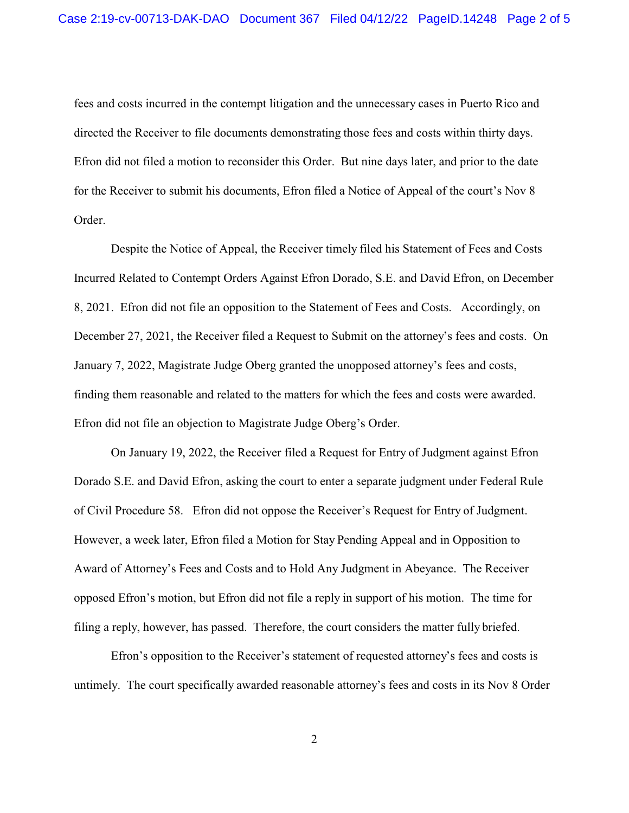fees and costs incurred in the contempt litigation and the unnecessary cases in Puerto Rico and directed the Receiver to file documents demonstrating those fees and costs within thirty days. Efron did not filed a motion to reconsider this Order. But nine days later, and prior to the date for the Receiver to submit his documents, Efron filed a Notice of Appeal of the court's Nov 8 Order.

Despite the Notice of Appeal, the Receiver timely filed his Statement of Fees and Costs Incurred Related to Contempt Orders Against Efron Dorado, S.E. and David Efron, on December 8, 2021. Efron did not file an opposition to the Statement of Fees and Costs. Accordingly, on December 27, 2021, the Receiver filed a Request to Submit on the attorney's fees and costs. On January 7, 2022, Magistrate Judge Oberg granted the unopposed attorney's fees and costs, finding them reasonable and related to the matters for which the fees and costs were awarded. Efron did not file an objection to Magistrate Judge Oberg's Order.

On January 19, 2022, the Receiver filed a Request for Entry of Judgment against Efron Dorado S.E. and David Efron, asking the court to enter a separate judgment under Federal Rule of Civil Procedure 58. Efron did not oppose the Receiver's Request for Entry of Judgment. However, a week later, Efron filed a Motion for Stay Pending Appeal and in Opposition to Award of Attorney's Fees and Costs and to Hold Any Judgment in Abeyance. The Receiver opposed Efron's motion, but Efron did not file a reply in support of his motion. The time for filing a reply, however, has passed. Therefore, the court considers the matter fully briefed.

Efron's opposition to the Receiver's statement of requested attorney's fees and costs is untimely. The court specifically awarded reasonable attorney's fees and costs in its Nov 8 Order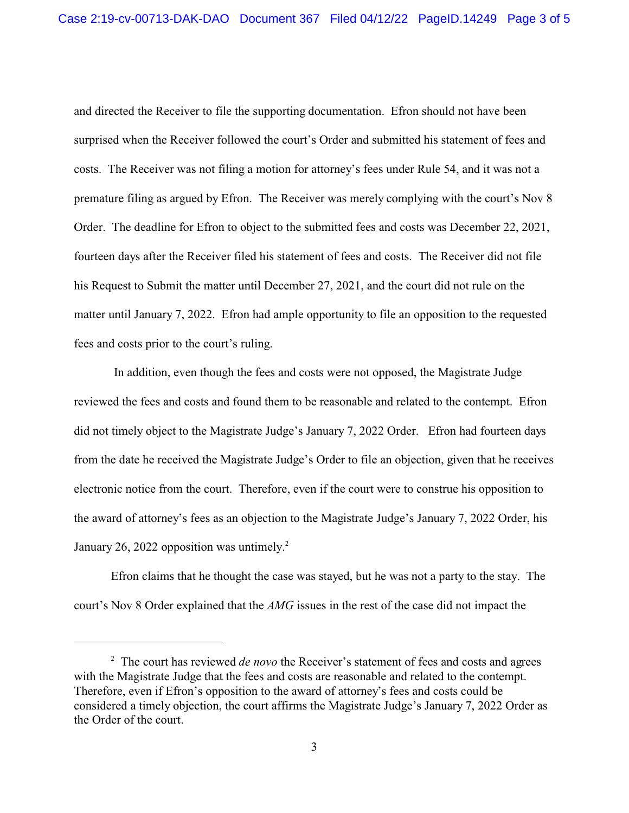and directed the Receiver to file the supporting documentation. Efron should not have been surprised when the Receiver followed the court's Order and submitted his statement of fees and costs. The Receiver was not filing a motion for attorney's fees under Rule 54, and it was not a premature filing as argued by Efron. The Receiver was merely complying with the court's Nov 8 Order. The deadline for Efron to object to the submitted fees and costs was December 22, 2021, fourteen days after the Receiver filed his statement of fees and costs. The Receiver did not file his Request to Submit the matter until December 27, 2021, and the court did not rule on the matter until January 7, 2022. Efron had ample opportunity to file an opposition to the requested fees and costs prior to the court's ruling.

 In addition, even though the fees and costs were not opposed, the Magistrate Judge reviewed the fees and costs and found them to be reasonable and related to the contempt. Efron did not timely object to the Magistrate Judge's January 7, 2022 Order. Efron had fourteen days from the date he received the Magistrate Judge's Order to file an objection, given that he receives electronic notice from the court. Therefore, even if the court were to construe his opposition to the award of attorney's fees as an objection to the Magistrate Judge's January 7, 2022 Order, his January 26, 2022 opposition was untimely.<sup>2</sup>

Efron claims that he thought the case was stayed, but he was not a party to the stay. The court's Nov 8 Order explained that the *AMG* issues in the rest of the case did not impact the

<sup>&</sup>lt;sup>2</sup> The court has reviewed *de novo* the Receiver's statement of fees and costs and agrees with the Magistrate Judge that the fees and costs are reasonable and related to the contempt. Therefore, even if Efron's opposition to the award of attorney's fees and costs could be considered a timely objection, the court affirms the Magistrate Judge's January 7, 2022 Order as the Order of the court.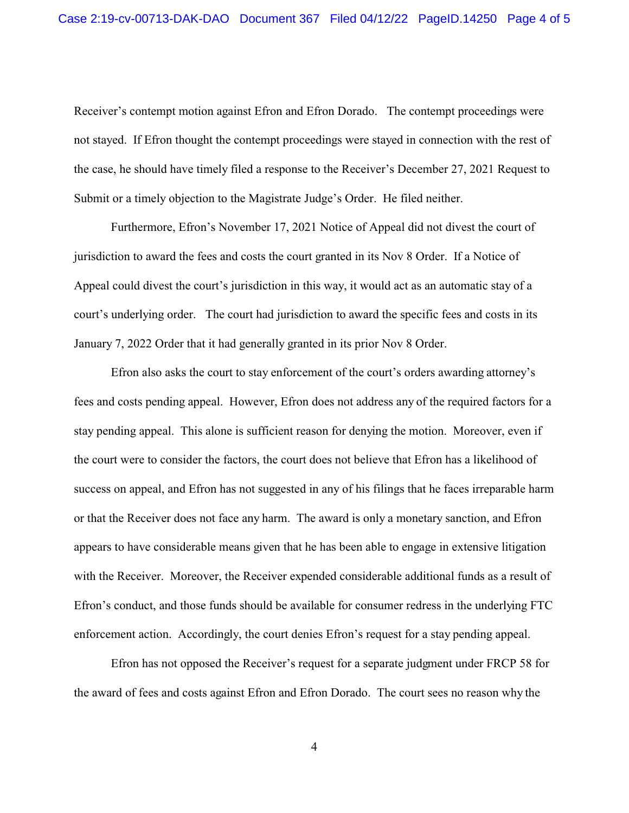Receiver's contempt motion against Efron and Efron Dorado. The contempt proceedings were not stayed. If Efron thought the contempt proceedings were stayed in connection with the rest of the case, he should have timely filed a response to the Receiver's December 27, 2021 Request to Submit or a timely objection to the Magistrate Judge's Order. He filed neither.

Furthermore, Efron's November 17, 2021 Notice of Appeal did not divest the court of jurisdiction to award the fees and costs the court granted in its Nov 8 Order. If a Notice of Appeal could divest the court's jurisdiction in this way, it would act as an automatic stay of a court's underlying order. The court had jurisdiction to award the specific fees and costs in its January 7, 2022 Order that it had generally granted in its prior Nov 8 Order.

Efron also asks the court to stay enforcement of the court's orders awarding attorney's fees and costs pending appeal. However, Efron does not address any of the required factors for a stay pending appeal. This alone is sufficient reason for denying the motion. Moreover, even if the court were to consider the factors, the court does not believe that Efron has a likelihood of success on appeal, and Efron has not suggested in any of his filings that he faces irreparable harm or that the Receiver does not face any harm. The award is only a monetary sanction, and Efron appears to have considerable means given that he has been able to engage in extensive litigation with the Receiver. Moreover, the Receiver expended considerable additional funds as a result of Efron's conduct, and those funds should be available for consumer redress in the underlying FTC enforcement action. Accordingly, the court denies Efron's request for a stay pending appeal.

Efron has not opposed the Receiver's request for a separate judgment under FRCP 58 for the award of fees and costs against Efron and Efron Dorado. The court sees no reason why the